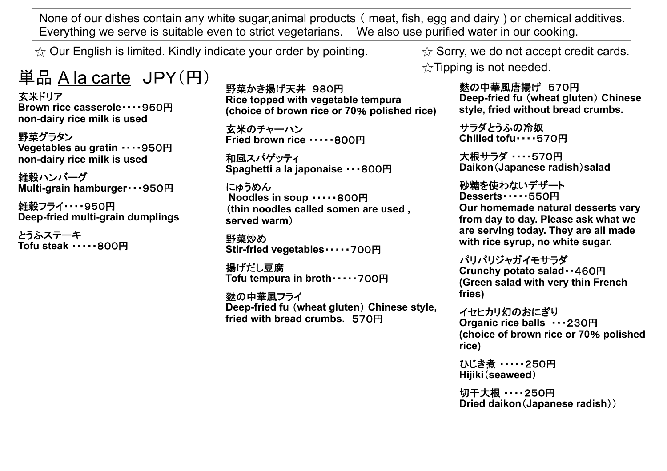None of Courdishes contain any white sugger animal products (meat, fist, egg and disitive serve is suitable even to strict vegetatians. We also use purified water in our cooking.<br>
Freq in the server is suitable went to st

 $\frac{1}{\sqrt{2}}$  Our English is limited. Kindly indicate your order by pointing.

## 単品 A la carte JPY(円)

玄米ドリア **Brown rice casserole**・・・・950円 **non-dairy rice milk is used**

野菜グラタン **Vegetables au gratin** ・・・・950円**non-dairy rice milk is used**

雑穀ハンバーグ**Multi-grain hamburger**・・・950円

雑穀フライ・・・・950円**Deep-fried multi-grain dumplings**

とうふステーキ**Tofu steak** ・・・・・800円

野菜かき揚げ天丼 980円 **Rice topped with vegetable tempura (choice of brown rice or 70**% **polished rice)** 

玄米のチャーハン **Fried brown rice** ・・・・・800円

和風スパゲッティ **Spaghetti a la japonaise** ・・・800円

にゅうめん **Noodles in soup** ・・・・・800円 (**thin noodles called somen are used , served warm**)

野菜炒め **Stir-fried vegetables**・・・・・700円

揚げだし豆腐 **Tofu tempura in broth**・・・・・700円

麩の中華風フライ **Deep-fried fu** (**wheat gluten**) **Chinese style, fried with bread crumbs.** 570円

 $\&$  Sorry, we do not accept credit cards.  $\sqrt{x}$ Tipping is not needed.

> 麩の中華風唐揚げ 570円 **Deep-fried fu** (**wheat gluten**) **Chinese style, fried without bread crumbs.**

サラダとうふの冷奴 **Chilled tofu**・・・・570円

 大根サラダ ・・・・570円**Daikon**(**Japanese radish**)**salad**

砂糖を使わないデザート **Desserts**・・・・・550円 **Our homemade natural desserts vary from day to day. Please ask what we are serving today. They are all made with rice syrup, no white sugar.**

パリパリジャガイモサラダ **Crunchy potato salad**・・460円 **(Green salad with very thin French fries)**

イセヒカリ幻のおにぎり **Organic rice balls** ・・・230円 **(choice of brown rice or 70**% **polished rice)**

ひじき煮 ・・・・・250円**Hijiki**(**seaweed**)

切干大根 ・・・・250円<u>DHEU UAINUH (JADI</u>